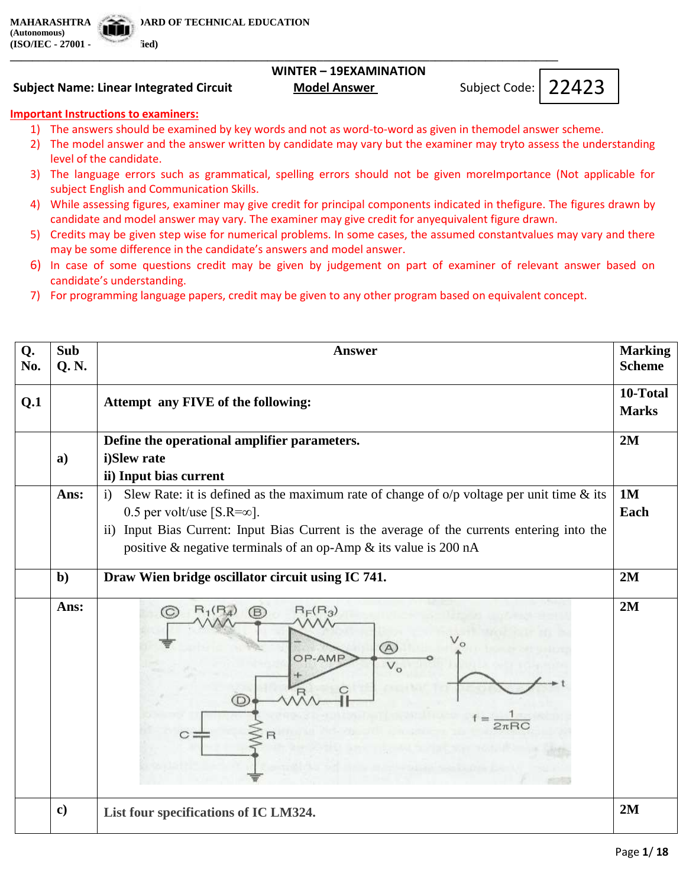**(Autonomous) (ISO/IEC - 27001 - 2013 Certified)**

## **WINTER – 19EXAMINATION**

**Subject Name: Linear Integrated Circuit Model Answer** 

Subject Code: | 22423

## **Important Instructions to examiners:**

1) The answers should be examined by key words and not as word-to-word as given in themodel answer scheme.

**\_\_\_\_\_\_\_\_\_\_\_\_\_\_\_\_\_\_\_\_\_\_\_\_\_\_\_\_\_\_\_\_\_\_\_\_\_\_\_\_\_\_\_\_\_\_\_\_\_\_\_\_\_\_\_\_\_\_\_\_\_\_\_\_\_\_\_\_\_\_\_\_\_\_\_\_\_\_\_\_\_\_\_\_\_\_\_\_\_\_\_\_\_\_\_\_\_\_**

- 2) The model answer and the answer written by candidate may vary but the examiner may tryto assess the understanding level of the candidate.
- 3) The language errors such as grammatical, spelling errors should not be given moreImportance (Not applicable for subject English and Communication Skills.
- 4) While assessing figures, examiner may give credit for principal components indicated in thefigure. The figures drawn by candidate and model answer may vary. The examiner may give credit for anyequivalent figure drawn.
- 5) Credits may be given step wise for numerical problems. In some cases, the assumed constantvalues may vary and there may be some difference in the candidate's answers and model answer.
- 6) In case of some questions credit may be given by judgement on part of examiner of relevant answer based on candidate's understanding.
- 7) For programming language papers, credit may be given to any other program based on equivalent concept.

| Q.  | Sub          | <b>Marking</b><br><b>Answer</b>                                                                             |              |  |
|-----|--------------|-------------------------------------------------------------------------------------------------------------|--------------|--|
| No. | Q. N.        |                                                                                                             |              |  |
|     |              |                                                                                                             |              |  |
| Q.1 |              | Attempt any FIVE of the following:                                                                          | <b>Marks</b> |  |
|     |              |                                                                                                             |              |  |
|     | $\mathbf{a}$ | Define the operational amplifier parameters.<br>i)Slew rate                                                 |              |  |
|     |              | ii) Input bias current                                                                                      |              |  |
|     | Ans:         | Slew Rate: it is defined as the maximum rate of change of $o/p$ voltage per unit time & its<br>$\mathbf{i}$ | 1M           |  |
|     |              | 0.5 per volt/use [ $S.R = \infty$ ].                                                                        | Each         |  |
|     |              | ii) Input Bias Current: Input Bias Current is the average of the currents entering into the                 |              |  |
|     |              | positive & negative terminals of an op-Amp & its value is 200 nA                                            |              |  |
|     | $\mathbf{b}$ | Draw Wien bridge oscillator circuit using IC 741.                                                           | 2M           |  |
|     |              |                                                                                                             |              |  |
|     | Ans:         | (A)<br>OP-AMP<br>D                                                                                          | 2M           |  |
|     | $\mathbf{c}$ | List four specifications of IC LM324.                                                                       | 2M           |  |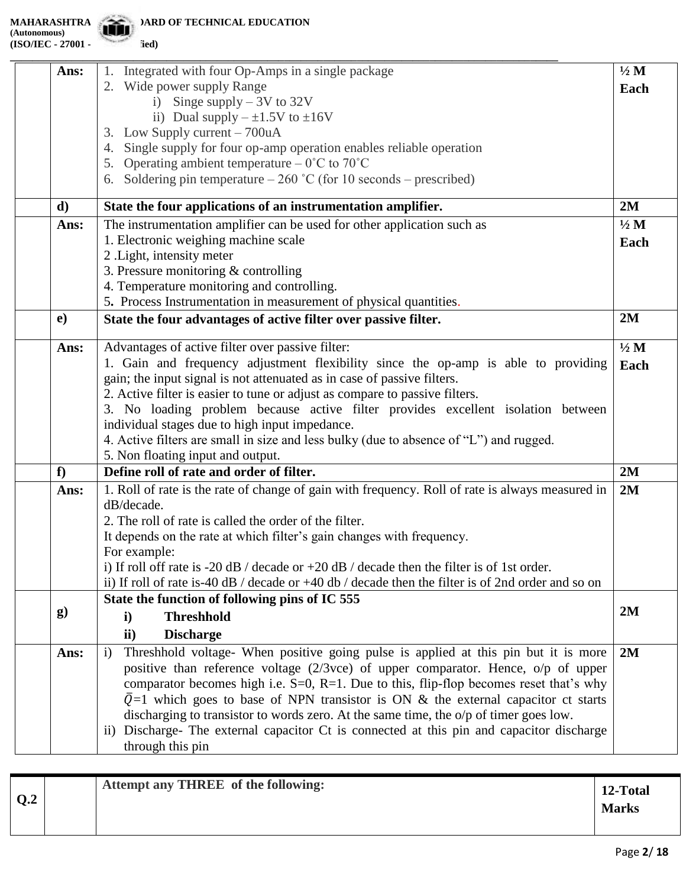**MARD OF TECHNICAL EDUCATION** 

|              | 1. Integrated with four Op-Amps in a single package                                                 | $\frac{1}{2}$ M |
|--------------|-----------------------------------------------------------------------------------------------------|-----------------|
| Ans:         | 2. Wide power supply Range                                                                          |                 |
|              | i) Singe supply $-3V$ to 32V                                                                        | Each            |
|              | ii) Dual supply $-\pm 1.5V$ to $\pm 16V$                                                            |                 |
|              | 3. Low Supply current – 700uA                                                                       |                 |
|              | Single supply for four op-amp operation enables reliable operation                                  |                 |
|              | 5. Operating ambient temperature $-0^{\circ}$ C to 70 <sup>°</sup> C                                |                 |
|              | 6. Soldering pin temperature $-260$ °C (for 10 seconds – prescribed)                                |                 |
|              |                                                                                                     |                 |
| d)           | State the four applications of an instrumentation amplifier.                                        | 2M              |
| Ans:         | The instrumentation amplifier can be used for other application such as                             | $1/2$ M         |
|              | 1. Electronic weighing machine scale                                                                | Each            |
|              | 2. Light, intensity meter                                                                           |                 |
|              | 3. Pressure monitoring $&$ controlling                                                              |                 |
|              | 4. Temperature monitoring and controlling.                                                          |                 |
|              | 5. Process Instrumentation in measurement of physical quantities.                                   |                 |
| $\mathbf{e}$ | State the four advantages of active filter over passive filter.                                     | 2M              |
| Ans:         | Advantages of active filter over passive filter:                                                    | $1/2$ M         |
|              | 1. Gain and frequency adjustment flexibility since the op-amp is able to providing                  |                 |
|              | gain; the input signal is not attenuated as in case of passive filters.                             | Each            |
|              | 2. Active filter is easier to tune or adjust as compare to passive filters.                         |                 |
|              | 3. No loading problem because active filter provides excellent isolation between                    |                 |
|              | individual stages due to high input impedance.                                                      |                 |
|              | 4. Active filters are small in size and less bulky (due to absence of "L") and rugged.              |                 |
|              | 5. Non floating input and output.                                                                   |                 |
| f            | Define roll of rate and order of filter.                                                            | 2M              |
| Ans:         | 1. Roll of rate is the rate of change of gain with frequency. Roll of rate is always measured in    | 2M              |
|              | dB/decade.                                                                                          |                 |
|              | 2. The roll of rate is called the order of the filter.                                              |                 |
|              | It depends on the rate at which filter's gain changes with frequency.                               |                 |
|              | For example:                                                                                        |                 |
|              | i) If roll off rate is $-20$ dB / decade or $+20$ dB / decade then the filter is of 1st order.      |                 |
|              | ii) If roll of rate is-40 dB / decade or +40 db / decade then the filter is of 2nd order and so on  |                 |
|              | State the function of following pins of IC 555                                                      |                 |
| $\bf{g}$     | <b>Threshhold</b><br>$\mathbf{i}$                                                                   | 2M              |
|              | <b>Discharge</b><br>$\mathbf{ii}$                                                                   |                 |
| Ans:         | Threshhold voltage- When positive going pulse is applied at this pin but it is more<br>$\mathbf{i}$ | 2M              |
|              | positive than reference voltage $(2/3$ vce) of upper comparator. Hence, $o/p$ of upper              |                 |
|              | comparator becomes high i.e. $S=0$ , $R=1$ . Due to this, flip-flop becomes reset that's why        |                 |
|              | $\overline{Q}$ =1 which goes to base of NPN transistor is ON & the external capacitor ct starts     |                 |
|              | discharging to transistor to words zero. At the same time, the o/p of timer goes low.               |                 |
|              | ii) Discharge- The external capacitor Ct is connected at this pin and capacitor discharge           |                 |
|              | through this pin                                                                                    |                 |
|              |                                                                                                     |                 |

| Q.2 | <b>Attempt any THREE of the following:</b> | 12-Total<br><b>Marks</b> |
|-----|--------------------------------------------|--------------------------|
|     |                                            |                          |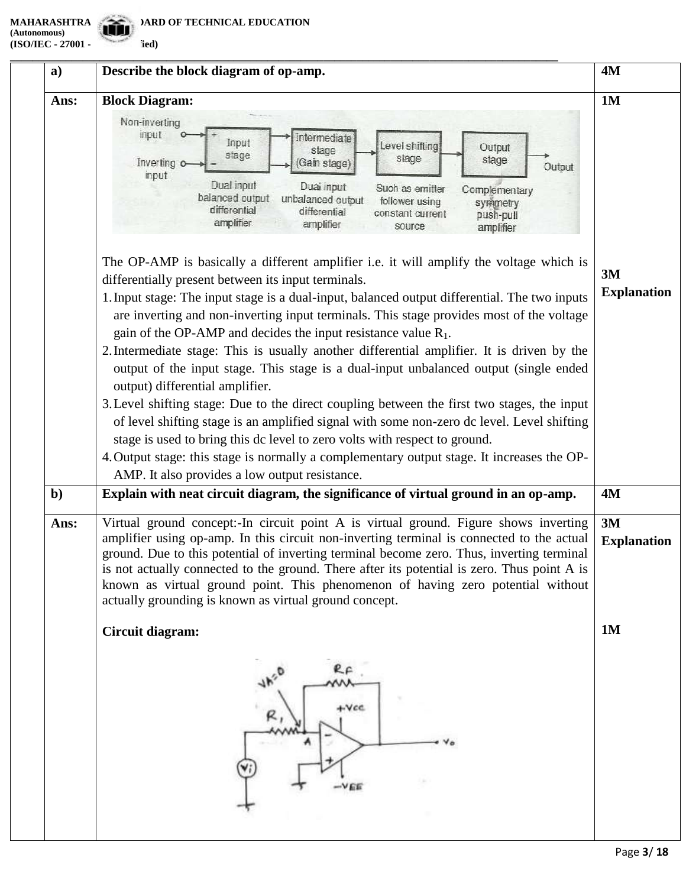**(Autonomous) (ISO/IEC - 27001 - 12013** 

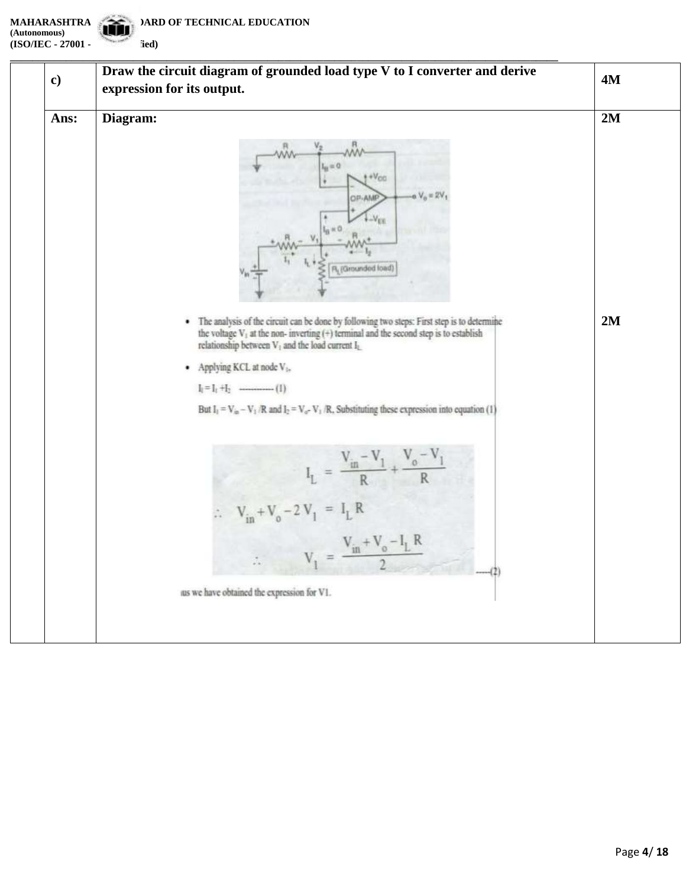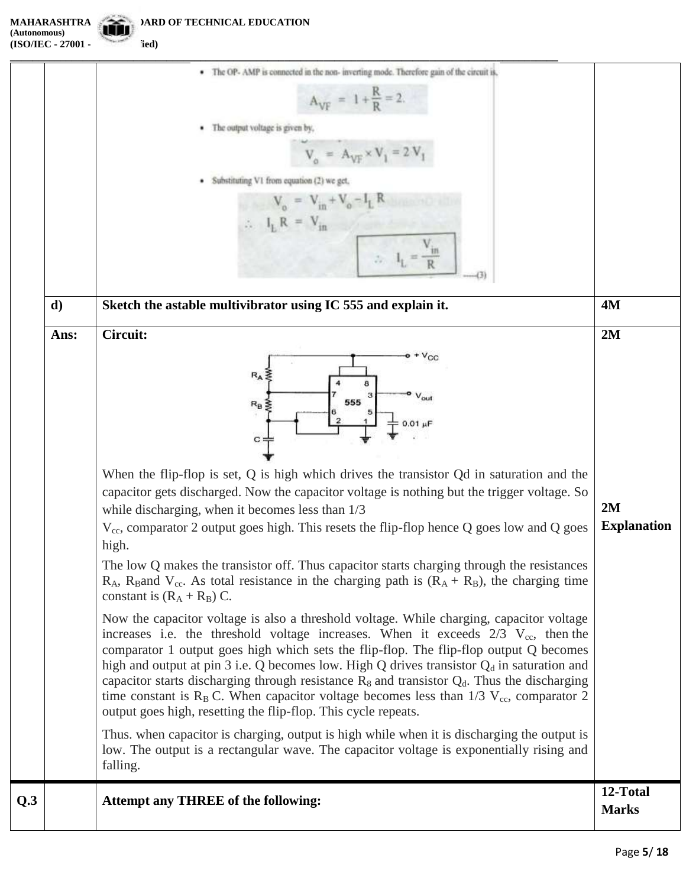**MAHARASHTRA STATE BOARD OF TECHNICAL EDUCATION (Autonomous) (ISO/IEC - 27001 - 2013 Certified)**

|     |              | · The OP- AMP is connected in the non- inverting mode. Therefore gain of the circuit is,                                                                                                                                                                                                                                                                                                                                                                                                                                                                                                                                                                                                                                                                                                                                                                     |                          |
|-----|--------------|--------------------------------------------------------------------------------------------------------------------------------------------------------------------------------------------------------------------------------------------------------------------------------------------------------------------------------------------------------------------------------------------------------------------------------------------------------------------------------------------------------------------------------------------------------------------------------------------------------------------------------------------------------------------------------------------------------------------------------------------------------------------------------------------------------------------------------------------------------------|--------------------------|
|     |              | $A_{\text{VF}} = 1 + \frac{R}{R} = 2.$                                                                                                                                                                                                                                                                                                                                                                                                                                                                                                                                                                                                                                                                                                                                                                                                                       |                          |
|     |              | The output voltage is given by,                                                                                                                                                                                                                                                                                                                                                                                                                                                                                                                                                                                                                                                                                                                                                                                                                              |                          |
|     |              | $V_{A} = A_{VF} \times V_{1} = 2V$                                                                                                                                                                                                                                                                                                                                                                                                                                                                                                                                                                                                                                                                                                                                                                                                                           |                          |
|     |              | Substituting V1 from equation (2) we get,                                                                                                                                                                                                                                                                                                                                                                                                                                                                                                                                                                                                                                                                                                                                                                                                                    |                          |
|     |              | $V_o = V_{in} + V_o - I_L$                                                                                                                                                                                                                                                                                                                                                                                                                                                                                                                                                                                                                                                                                                                                                                                                                                   |                          |
|     |              | $IL R = Vin$                                                                                                                                                                                                                                                                                                                                                                                                                                                                                                                                                                                                                                                                                                                                                                                                                                                 |                          |
|     |              |                                                                                                                                                                                                                                                                                                                                                                                                                                                                                                                                                                                                                                                                                                                                                                                                                                                              |                          |
|     | $\mathbf{d}$ | Sketch the astable multivibrator using IC 555 and explain it.                                                                                                                                                                                                                                                                                                                                                                                                                                                                                                                                                                                                                                                                                                                                                                                                | 4M                       |
|     | Ans:         | Circuit:                                                                                                                                                                                                                                                                                                                                                                                                                                                                                                                                                                                                                                                                                                                                                                                                                                                     | 2M                       |
|     |              | $+V_{CC}$<br>$R_A$<br>out<br>555<br>$R_B$<br>$c =$<br>When the flip-flop is set, $Q$ is high which drives the transistor $Qd$ in saturation and the<br>capacitor gets discharged. Now the capacitor voltage is nothing but the trigger voltage. So<br>while discharging, when it becomes less than 1/3<br>$V_{cc}$ , comparator 2 output goes high. This resets the flip-flop hence Q goes low and Q goes<br>high.<br>The low Q makes the transistor off. Thus capacitor starts charging through the resistances<br>$R_A$ , R <sub>B</sub> and V <sub>cc</sub> . As total resistance in the charging path is $(R_A + R_B)$ , the charging time<br>constant is $(R_A + R_B)$ C.                                                                                                                                                                               | 2M<br><b>Explanation</b> |
|     |              | Now the capacitor voltage is also a threshold voltage. While charging, capacitor voltage<br>increases i.e. the threshold voltage increases. When it exceeds $2/3$ V <sub>cc</sub> , then the<br>comparator 1 output goes high which sets the flip-flop. The flip-flop output Q becomes<br>high and output at pin 3 i.e. Q becomes low. High Q drives transistor $Q_d$ in saturation and<br>capacitor starts discharging through resistance $R_8$ and transistor $Q_d$ . Thus the discharging<br>time constant is $R_B C$ . When capacitor voltage becomes less than 1/3 $V_{cc}$ , comparator 2<br>output goes high, resetting the flip-flop. This cycle repeats.<br>Thus, when capacitor is charging, output is high while when it is discharging the output is<br>low. The output is a rectangular wave. The capacitor voltage is exponentially rising and |                          |
|     |              | falling.                                                                                                                                                                                                                                                                                                                                                                                                                                                                                                                                                                                                                                                                                                                                                                                                                                                     |                          |
| Q.3 |              | Attempt any THREE of the following:                                                                                                                                                                                                                                                                                                                                                                                                                                                                                                                                                                                                                                                                                                                                                                                                                          | 12-Total<br><b>Marks</b> |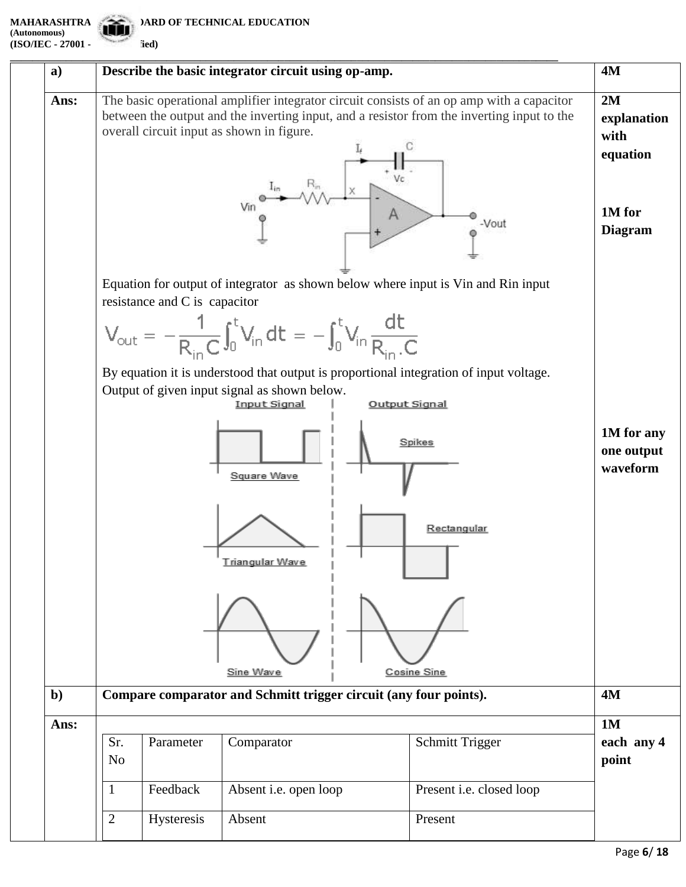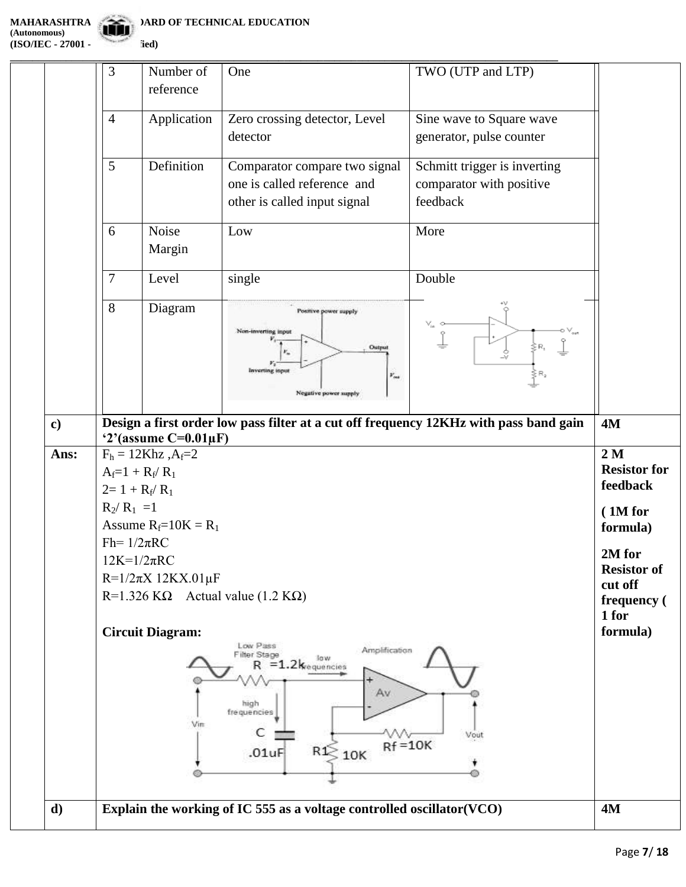**\_\_\_\_\_\_\_\_\_\_\_\_\_\_\_\_\_\_\_\_\_\_\_\_\_\_\_\_\_\_\_\_\_\_\_\_\_\_\_\_\_\_\_\_\_\_\_\_\_\_\_\_\_\_\_\_\_\_\_\_\_\_\_\_\_\_\_\_\_\_\_\_\_\_\_\_\_\_\_\_\_\_\_\_\_\_\_\_\_\_\_\_\_\_\_\_\_\_** One TWO (UTP and LTP) 3 Number of reference 4 Application Zero crossing detector, Level Sine wave to Square wave detector generator, pulse counter 5 Definition Comparator compare two signal Schmitt trigger is inverting one is called reference and comparator with positive other is called input signal feedback 6 Noise Low More Margin 7 Level single Double 8 Diagram Positive power supply ķя, Ou v. **c) Design a first order low pass filter at a cut off frequency 12KHz with pass band gain 4M '2'(assume C=0.01µF) Ans:**  $F_h = 12Khz, A_f = 2$ **2 M Resistor for**   $A_f=1 + R_f/R_1$ **feedback**   $2= 1 + R_f/R_1$  $R_2/R_1 = 1$ **( 1M for**  Assume  $R_f = 10K = R_1$ **formula)** Fh=  $1/2\pi RC$ **2M for**   $12K=1/2\pi RC$ **Resistor of**  R=1/2πX 12KX.01µF **cut off**  R=1.326 KΩ Actual value (1.2 KΩ) **frequency ( 1 for formula) Circuit Diagram:** Low Pass Amplification Filter Stage **Sow**  $=1.2$ <sub>kequencies</sub> R Av high frequencies Vin C M Vout  $Rf = 10K$ 

 $\geqslant$  10K

R1

 $.01uF$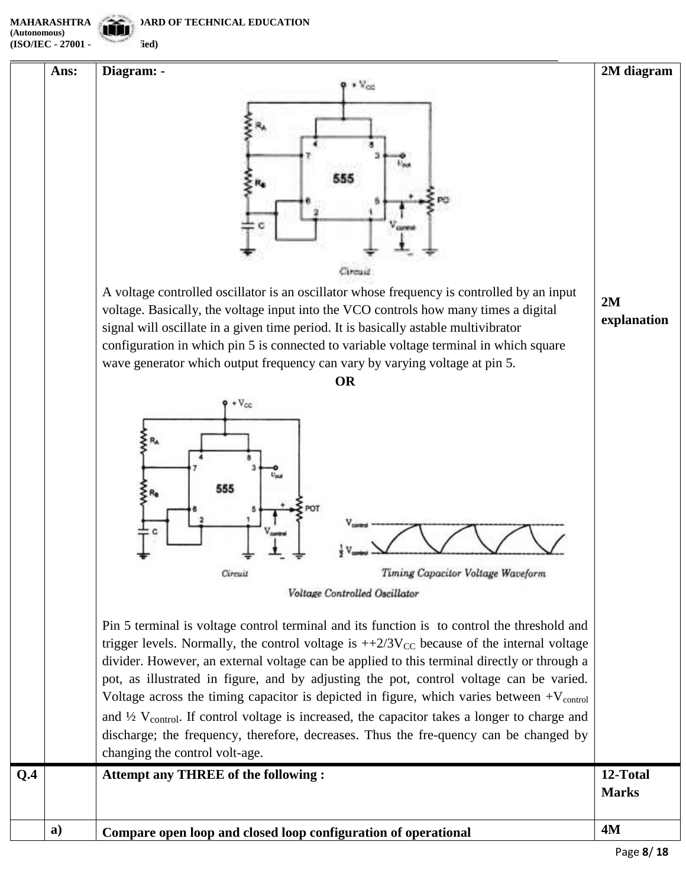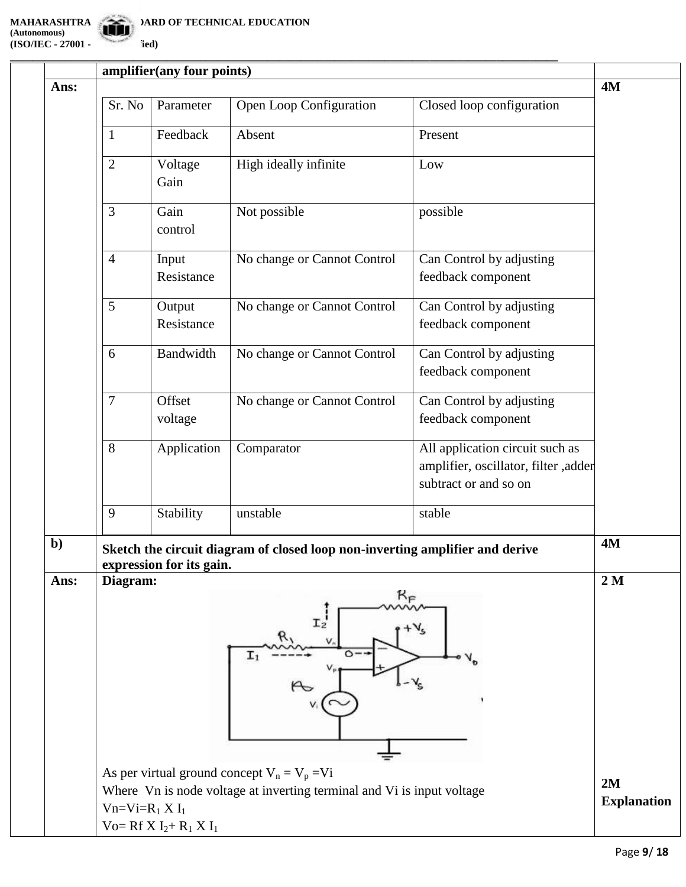**\_\_\_\_\_\_\_\_\_\_\_\_\_\_\_\_\_\_\_\_\_\_\_\_\_\_\_\_\_\_\_\_\_\_\_\_\_\_\_\_\_\_\_\_\_\_\_\_\_\_\_\_\_\_\_\_\_\_\_\_\_\_\_\_\_\_\_\_\_\_\_\_\_\_\_\_\_\_\_\_\_\_\_\_\_\_\_\_\_\_\_\_\_\_\_\_\_\_**

|                                                                                                                                              | Parameter              |                                                                         |                                                                                                  | <b>4M</b>                                                                                                                     |  |
|----------------------------------------------------------------------------------------------------------------------------------------------|------------------------|-------------------------------------------------------------------------|--------------------------------------------------------------------------------------------------|-------------------------------------------------------------------------------------------------------------------------------|--|
|                                                                                                                                              |                        |                                                                         |                                                                                                  |                                                                                                                               |  |
| $\overline{2}$                                                                                                                               | Voltage<br>Gain        | High ideally infinite                                                   | Low                                                                                              |                                                                                                                               |  |
| 3                                                                                                                                            | Gain<br>control        | Not possible                                                            | possible                                                                                         |                                                                                                                               |  |
| $\overline{4}$                                                                                                                               | Input<br>Resistance    | No change or Cannot Control                                             | Can Control by adjusting<br>feedback component                                                   |                                                                                                                               |  |
| 5                                                                                                                                            | Output<br>Resistance   | No change or Cannot Control                                             | Can Control by adjusting<br>feedback component                                                   |                                                                                                                               |  |
| 6                                                                                                                                            | Bandwidth              | No change or Cannot Control                                             | Can Control by adjusting<br>feedback component                                                   |                                                                                                                               |  |
| $\overline{7}$                                                                                                                               | Offset<br>voltage      | No change or Cannot Control                                             | Can Control by adjusting<br>feedback component                                                   |                                                                                                                               |  |
| 8                                                                                                                                            | Application            | Comparator                                                              | All application circuit such as<br>amplifier, oscillator, filter ,adder<br>subtract or and so on |                                                                                                                               |  |
| 9                                                                                                                                            | Stability              | unstable                                                                | stable                                                                                           |                                                                                                                               |  |
|                                                                                                                                              |                        |                                                                         |                                                                                                  | <b>4M</b>                                                                                                                     |  |
|                                                                                                                                              |                        |                                                                         |                                                                                                  | 2M                                                                                                                            |  |
| $T_2$<br>$\circ$<br>As per virtual ground concept $V_n = V_p = Vi$<br>Where Vn is node voltage at inverting terminal and Vi is input voltage |                        |                                                                         |                                                                                                  |                                                                                                                               |  |
|                                                                                                                                              |                        |                                                                         |                                                                                                  | <b>Explanation</b>                                                                                                            |  |
|                                                                                                                                              | Sr. No<br>$\mathbf{1}$ | Feedback<br>Diagram:<br>$Vn=Vi=R_1 X I_1$<br>Vo= $Rf X I_2 + R_1 X I_1$ | amplifier(any four points)<br>Open Loop Configuration<br>Absent<br>expression for its gain.      | Closed loop configuration<br>Present<br>Sketch the circuit diagram of closed loop non-inverting amplifier and derive<br>$R_F$ |  |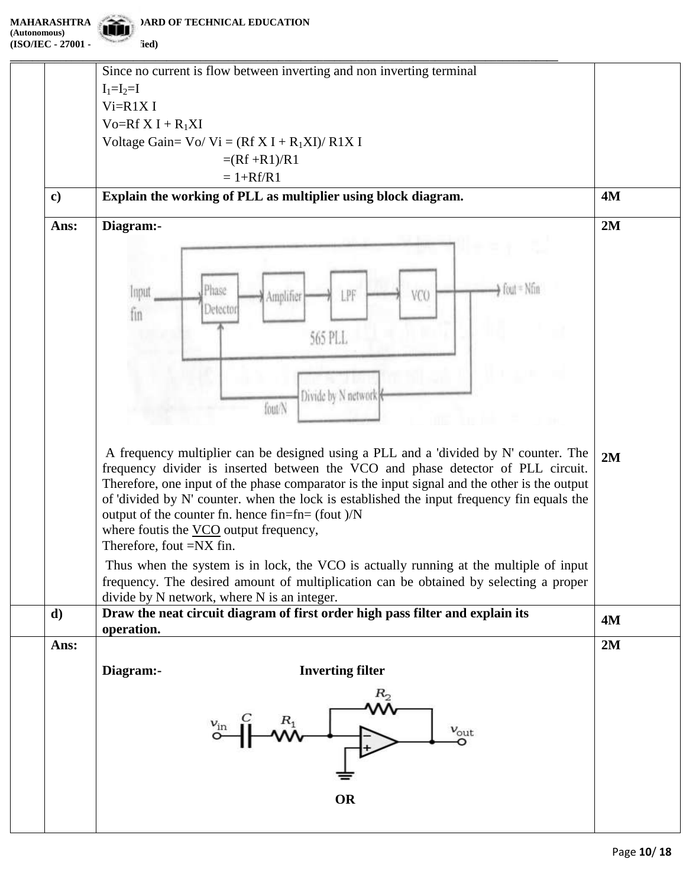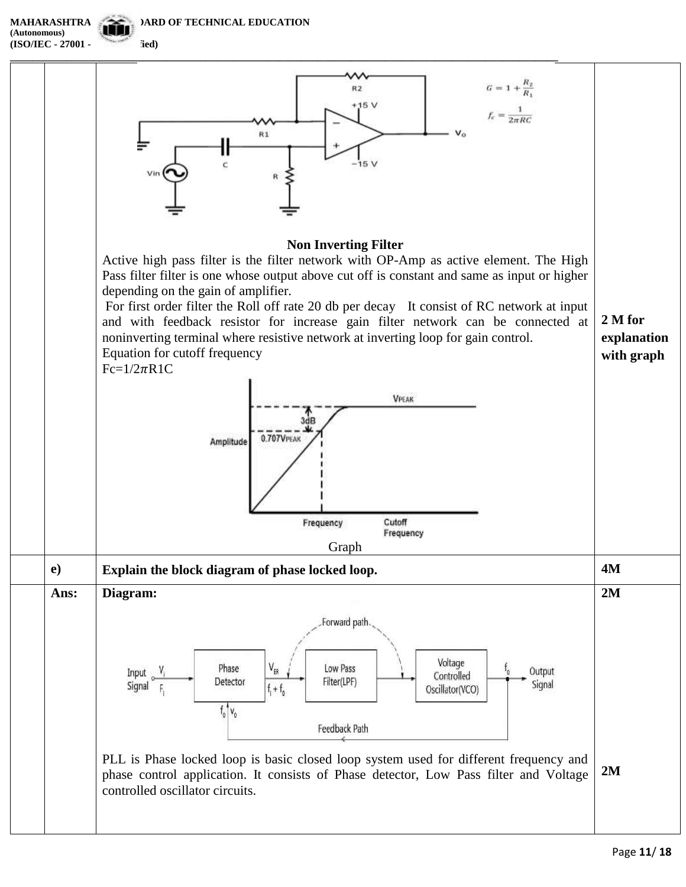**(Autonomous) (ISO/IEC - 27001 - 2013** fied)

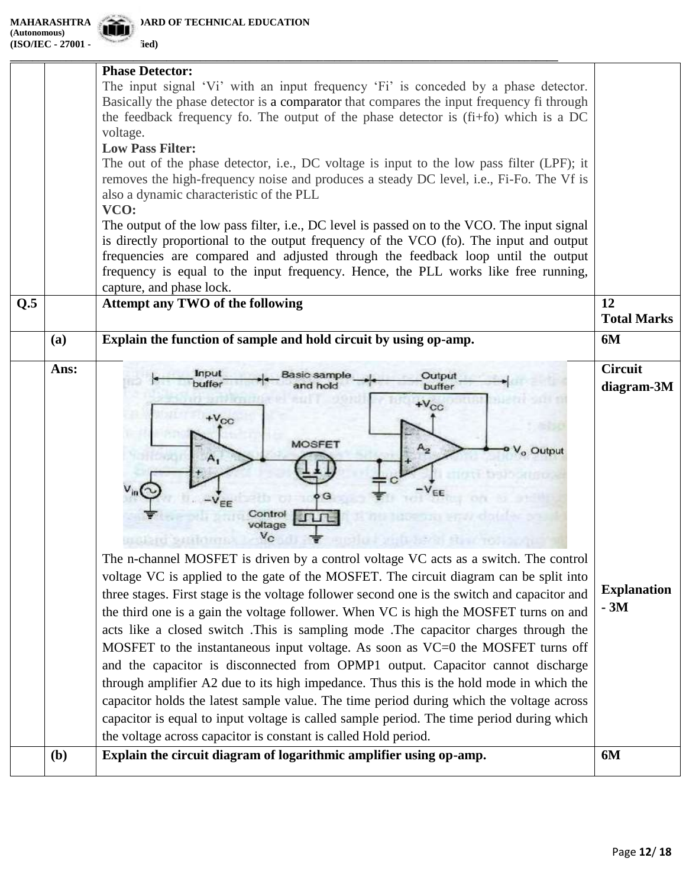|     |      | <b>Phase Detector:</b><br>The input signal 'Vi' with an input frequency 'Fi' is conceded by a phase detector.<br>Basically the phase detector is a comparator that compares the input frequency fi through<br>the feedback frequency fo. The output of the phase detector is $(f_i + f_0)$ which is a DC<br>voltage.<br><b>Low Pass Filter:</b><br>The out of the phase detector, i.e., DC voltage is input to the low pass filter (LPF); it<br>removes the high-frequency noise and produces a steady DC level, i.e., Fi-Fo. The Vf is<br>also a dynamic characteristic of the PLL<br>VCO:<br>The output of the low pass filter, i.e., DC level is passed on to the VCO. The input signal<br>is directly proportional to the output frequency of the VCO (fo). The input and output<br>frequencies are compared and adjusted through the feedback loop until the output<br>frequency is equal to the input frequency. Hence, the PLL works like free running,<br>capture, and phase lock.                                                                                                                                                                            |                                                             |
|-----|------|-----------------------------------------------------------------------------------------------------------------------------------------------------------------------------------------------------------------------------------------------------------------------------------------------------------------------------------------------------------------------------------------------------------------------------------------------------------------------------------------------------------------------------------------------------------------------------------------------------------------------------------------------------------------------------------------------------------------------------------------------------------------------------------------------------------------------------------------------------------------------------------------------------------------------------------------------------------------------------------------------------------------------------------------------------------------------------------------------------------------------------------------------------------------------|-------------------------------------------------------------|
| Q.5 |      | Attempt any TWO of the following                                                                                                                                                                                                                                                                                                                                                                                                                                                                                                                                                                                                                                                                                                                                                                                                                                                                                                                                                                                                                                                                                                                                      | 12<br><b>Total Marks</b>                                    |
|     | (a)  | Explain the function of sample and hold circuit by using op-amp.                                                                                                                                                                                                                                                                                                                                                                                                                                                                                                                                                                                                                                                                                                                                                                                                                                                                                                                                                                                                                                                                                                      | 6M                                                          |
|     | Ans: | Input<br>Output<br>asic sample<br>buffer<br>buffer<br>$+V_{CC}$<br>$+V_{CC}$<br><b>MOSFET</b><br>$A_{2}$<br>V <sub>o</sub> Output<br>$A_{1}$<br>G<br>Contro<br>voltage<br>The n-channel MOSFET is driven by a control voltage VC acts as a switch. The control<br>voltage VC is applied to the gate of the MOSFET. The circuit diagram can be split into<br>three stages. First stage is the voltage follower second one is the switch and capacitor and<br>the third one is a gain the voltage follower. When VC is high the MOSFET turns on and<br>acts like a closed switch. This is sampling mode. The capacitor charges through the<br>MOSFET to the instantaneous input voltage. As soon as VC=0 the MOSFET turns off<br>and the capacitor is disconnected from OPMP1 output. Capacitor cannot discharge<br>through amplifier A2 due to its high impedance. Thus this is the hold mode in which the<br>capacitor holds the latest sample value. The time period during which the voltage across<br>capacitor is equal to input voltage is called sample period. The time period during which<br>the voltage across capacitor is constant is called Hold period. | <b>Circuit</b><br>diagram-3M<br><b>Explanation</b><br>$-3M$ |
|     | (b)  | Explain the circuit diagram of logarithmic amplifier using op-amp.                                                                                                                                                                                                                                                                                                                                                                                                                                                                                                                                                                                                                                                                                                                                                                                                                                                                                                                                                                                                                                                                                                    | 6M                                                          |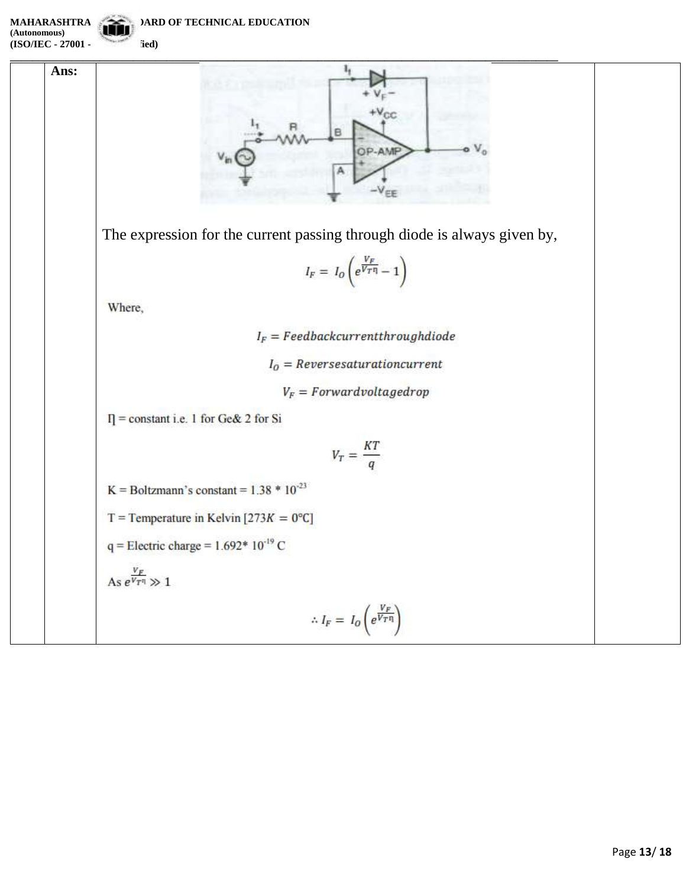**(Autonomous) (ISO/IEC - 27001 - fied)** 

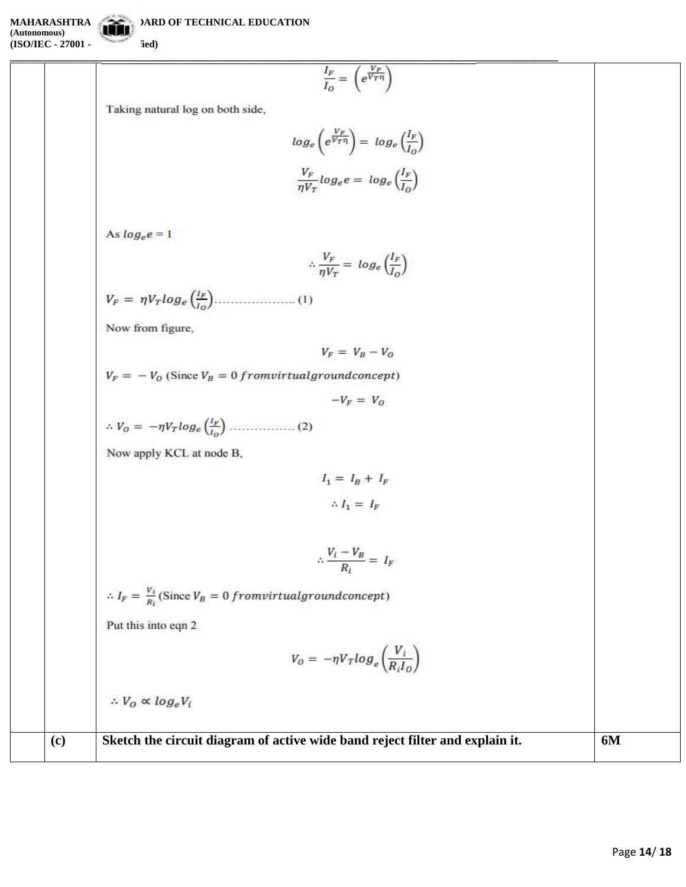$$
(ISO/IEC - 27001 -
$$
field)

$$
\frac{I_F}{I_O} = \left(e^{\frac{V_F}{V_T \eta}}\right)
$$

Taking natural log on both side,

$$
log_e \left(e^{\frac{V_F}{V_T \eta}}\right) = log_e \left(\frac{I_F}{I_O}\right)
$$

$$
\frac{V_F}{\eta V_T} log_e e = log_e \left(\frac{I_F}{I_O}\right)
$$

Ì

As  $log_e e = 1$ 

$$
\therefore \frac{V_F}{\eta V_T} = \log_e \left(\frac{I_F}{I_O}\right)
$$

Now from figure,

$$
V_F = V_B - V_C
$$

 $V_F = -V_0$  (Since  $V_B = 0$  from virtual ground concept)

$$
-V_F = V_G
$$

Now apply KCL at node B,

$$
I_1 = I_B + I_F
$$

$$
\therefore I_1 = I_F
$$

$$
\therefore \frac{V_i - V_B}{R_i} = I_F
$$

 $\therefore I_F = \frac{v_i}{R_i}(\text{Since } V_B = 0 \, from virtual ground concept)$ Put this into eqn 2

$$
V_O = -\eta V_T \log_e \left(\frac{V_i}{R_i I_O}\right)
$$

 $\therefore V_O \propto log_eV_i$ 

**(c) Sketch the circuit diagram of active wide band reject filter and explain it. 6M**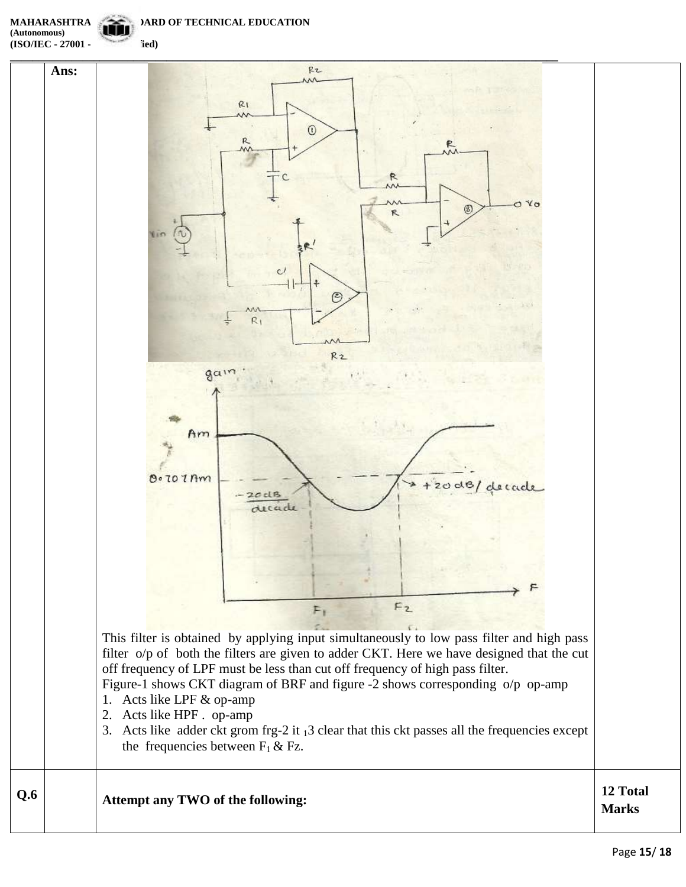**(Autonomous)**

**(ISO/IEC - 27001 - 27001** fied)



**Marks**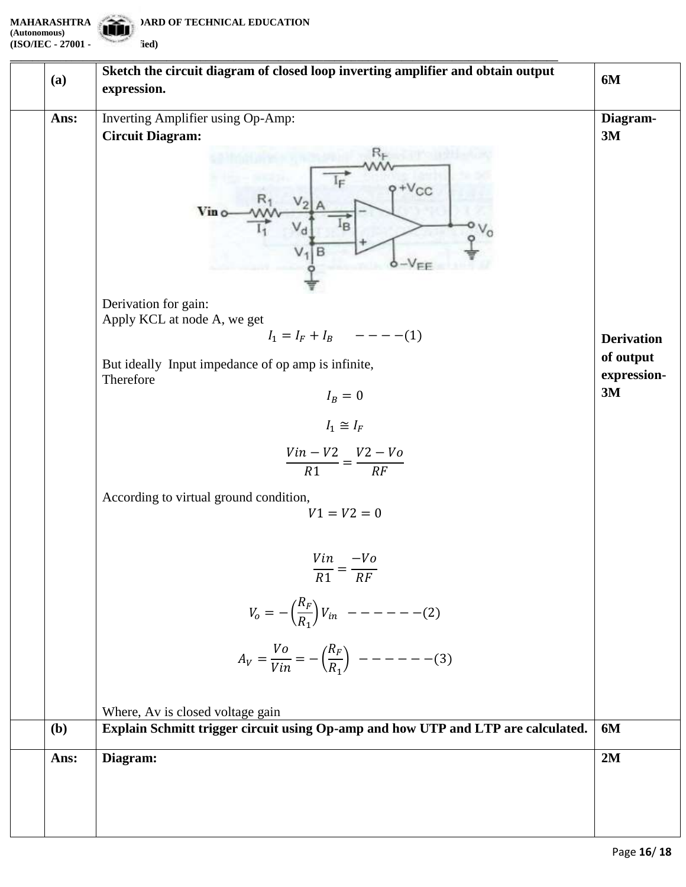**(Autonomous) (ISO/IEC - 27001 - 2013 Certified)**

| (a)  | 6M                                                                                                                                                                                                                                                                                                                                                                                                                                                                                     |                                                                       |
|------|----------------------------------------------------------------------------------------------------------------------------------------------------------------------------------------------------------------------------------------------------------------------------------------------------------------------------------------------------------------------------------------------------------------------------------------------------------------------------------------|-----------------------------------------------------------------------|
| Ans: | Inverting Amplifier using Op-Amp:<br><b>Circuit Diagram:</b><br>$V_{CC}$<br>Vin o<br>$-VFE$<br>Derivation for gain:<br>Apply KCL at node A, we get<br>$I_1 = I_F + I_B$ -----(1)<br>But ideally Input impedance of op amp is infinite,<br>Therefore<br>$I_B=0$<br>$I_1 \cong I_F$<br>$\frac{Vin-V2}{R1} = \frac{V2-Vo}{RF}$<br>According to virtual ground condition,<br>$V1 = V2 = 0$<br>$\frac{Vin}{R1} = \frac{-Vo}{RF}$<br>$V_o = -\left(\frac{R_F}{R_1}\right) V_{in}$ -------(2) | Diagram-<br>3M<br><b>Derivation</b><br>of output<br>expression-<br>3M |
| (b)  | Where, Av is closed voltage gain<br>Explain Schmitt trigger circuit using Op-amp and how UTP and LTP are calculated.                                                                                                                                                                                                                                                                                                                                                                   | 6M                                                                    |
| Ans: | Diagram:                                                                                                                                                                                                                                                                                                                                                                                                                                                                               | 2M                                                                    |
|      |                                                                                                                                                                                                                                                                                                                                                                                                                                                                                        |                                                                       |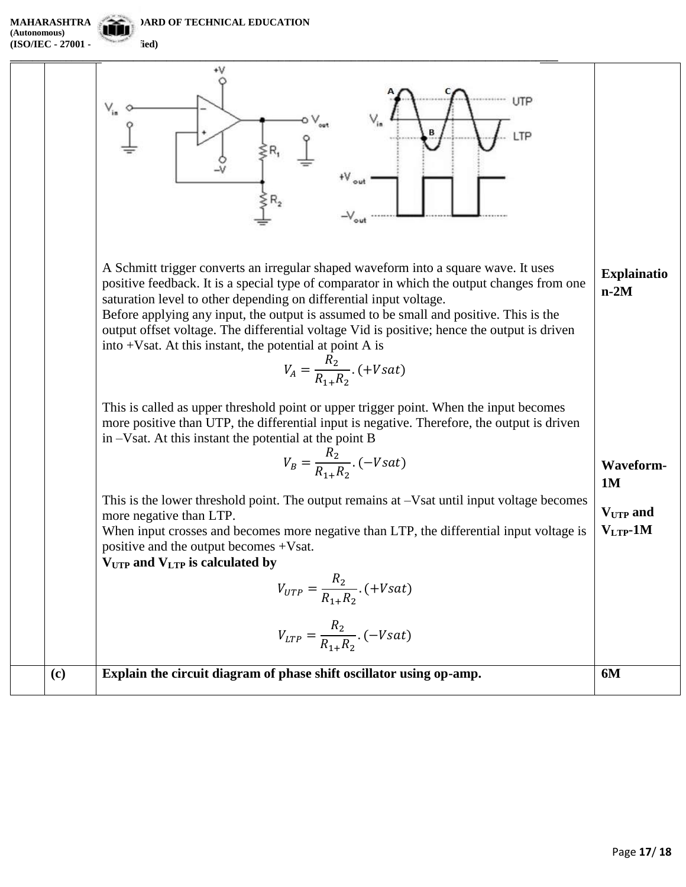**(Autonomous) (ISO/IEC - 27001 - 2013** fied)